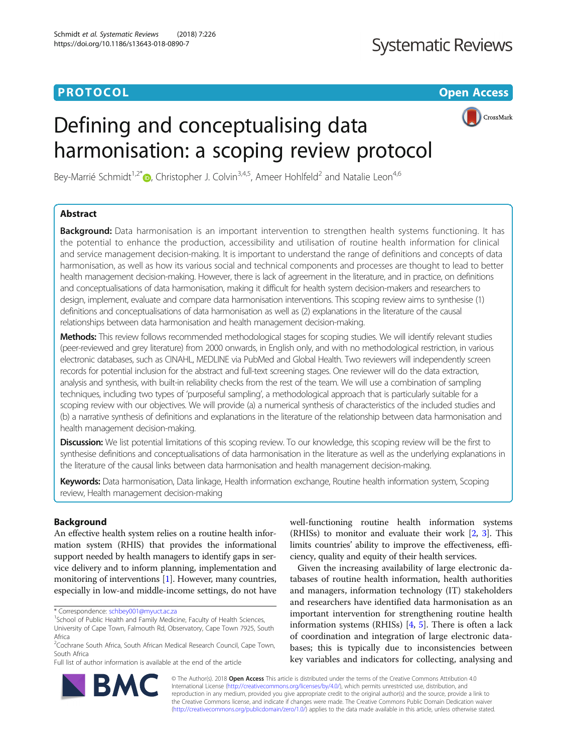## **PROTOCOL CONSUMING THE OPEN ACCESS**

CrossMark

# Defining and conceptualising data harmonisation: a scoping review protocol

Bey-Marrié Schmidt<sup>1[,](http://orcid.org/0000-0003-1363-171X)2\*</sup>  $\bullet$ , Christopher J. Colvin<sup>3,4,5</sup>, Ameer Hohlfeld<sup>2</sup> and Natalie Leon<sup>4,6</sup>

## Abstract

**Background:** Data harmonisation is an important intervention to strengthen health systems functioning. It has the potential to enhance the production, accessibility and utilisation of routine health information for clinical and service management decision-making. It is important to understand the range of definitions and concepts of data harmonisation, as well as how its various social and technical components and processes are thought to lead to better health management decision-making. However, there is lack of agreement in the literature, and in practice, on definitions and conceptualisations of data harmonisation, making it difficult for health system decision-makers and researchers to design, implement, evaluate and compare data harmonisation interventions. This scoping review aims to synthesise (1) definitions and conceptualisations of data harmonisation as well as (2) explanations in the literature of the causal relationships between data harmonisation and health management decision-making.

Methods: This review follows recommended methodological stages for scoping studies. We will identify relevant studies (peer-reviewed and grey literature) from 2000 onwards, in English only, and with no methodological restriction, in various electronic databases, such as CINAHL, MEDLINE via PubMed and Global Health. Two reviewers will independently screen records for potential inclusion for the abstract and full-text screening stages. One reviewer will do the data extraction, analysis and synthesis, with built-in reliability checks from the rest of the team. We will use a combination of sampling techniques, including two types of 'purposeful sampling', a methodological approach that is particularly suitable for a scoping review with our objectives. We will provide (a) a numerical synthesis of characteristics of the included studies and (b) a narrative synthesis of definitions and explanations in the literature of the relationship between data harmonisation and health management decision-making.

Discussion: We list potential limitations of this scoping review. To our knowledge, this scoping review will be the first to synthesise definitions and conceptualisations of data harmonisation in the literature as well as the underlying explanations in the literature of the causal links between data harmonisation and health management decision-making.

Keywords: Data harmonisation, Data linkage, Health information exchange, Routine health information system, Scoping review, Health management decision-making

## Background

An effective health system relies on a routine health information system (RHIS) that provides the informational support needed by health managers to identify gaps in service delivery and to inform planning, implementation and monitoring of interventions [[1](#page-5-0)]. However, many countries, especially in low-and middle-income settings, do not have

\* Correspondence: [schbey001@myuct.ac.za](mailto:schbey001@myuct.ac.za) <sup>1</sup>

Full list of author information is available at the end of the article

well-functioning routine health information systems (RHISs) to monitor and evaluate their work [\[2](#page-5-0), [3](#page-5-0)]. This limits countries' ability to improve the effectiveness, efficiency, quality and equity of their health services.

Given the increasing availability of large electronic databases of routine health information, health authorities and managers, information technology (IT) stakeholders and researchers have identified data harmonisation as an important intervention for strengthening routine health information systems (RHISs) [[4](#page-5-0), [5\]](#page-5-0). There is often a lack of coordination and integration of large electronic databases; this is typically due to inconsistencies between key variables and indicators for collecting, analysing and



© The Author(s). 2018 Open Access This article is distributed under the terms of the Creative Commons Attribution 4.0 International License [\(http://creativecommons.org/licenses/by/4.0/](http://creativecommons.org/licenses/by/4.0/)), which permits unrestricted use, distribution, and reproduction in any medium, provided you give appropriate credit to the original author(s) and the source, provide a link to the Creative Commons license, and indicate if changes were made. The Creative Commons Public Domain Dedication waiver [\(http://creativecommons.org/publicdomain/zero/1.0/](http://creativecommons.org/publicdomain/zero/1.0/)) applies to the data made available in this article, unless otherwise stated.

<sup>&</sup>lt;sup>1</sup>School of Public Health and Family Medicine, Faculty of Health Sciences, University of Cape Town, Falmouth Rd, Observatory, Cape Town 7925, South Africa

<sup>&</sup>lt;sup>2</sup>Cochrane South Africa, South African Medical Research Council, Cape Town, South Africa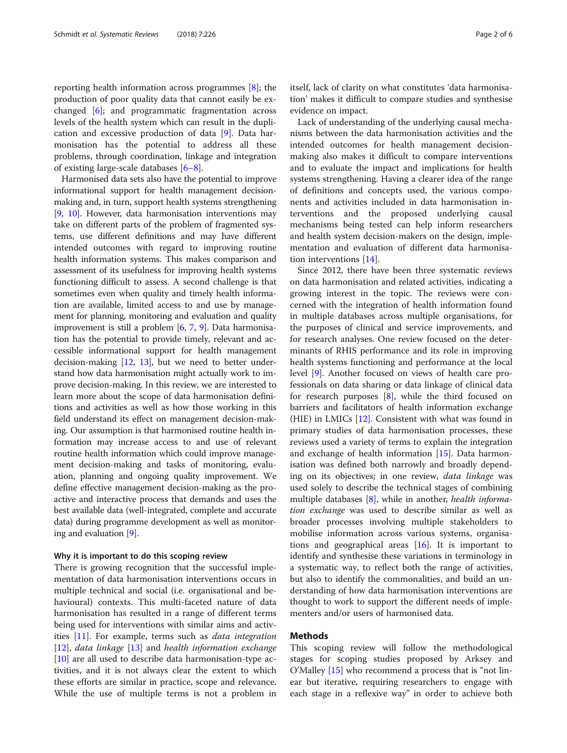reporting health information across programmes [\[8](#page-5-0)]; the production of poor quality data that cannot easily be exchanged [[6\]](#page-5-0); and programmatic fragmentation across levels of the health system which can result in the duplication and excessive production of data [\[9](#page-5-0)]. Data harmonisation has the potential to address all these problems, through coordination, linkage and integration of existing large-scale databases [[6](#page-5-0)–[8](#page-5-0)].

Harmonised data sets also have the potential to improve informational support for health management decisionmaking and, in turn, support health systems strengthening [[9,](#page-5-0) [10\]](#page-5-0). However, data harmonisation interventions may take on different parts of the problem of fragmented systems, use different definitions and may have different intended outcomes with regard to improving routine health information systems. This makes comparison and assessment of its usefulness for improving health systems functioning difficult to assess. A second challenge is that sometimes even when quality and timely health information are available, limited access to and use by management for planning, monitoring and evaluation and quality improvement is still a problem [[6,](#page-5-0) [7,](#page-5-0) [9](#page-5-0)]. Data harmonisation has the potential to provide timely, relevant and accessible informational support for health management decision-making [\[12,](#page-5-0) [13](#page-5-0)], but we need to better understand how data harmonisation might actually work to improve decision-making. In this review, we are interested to learn more about the scope of data harmonisation definitions and activities as well as how those working in this field understand its effect on management decision-making. Our assumption is that harmonised routine health information may increase access to and use of relevant routine health information which could improve management decision-making and tasks of monitoring, evaluation, planning and ongoing quality improvement. We define effective management decision-making as the proactive and interactive process that demands and uses the best available data (well-integrated, complete and accurate data) during programme development as well as monitoring and evaluation [[9\]](#page-5-0).

#### Why it is important to do this scoping review

There is growing recognition that the successful implementation of data harmonisation interventions occurs in multiple technical and social (i.e. organisational and behavioural) contexts. This multi-faceted nature of data harmonisation has resulted in a range of different terms being used for interventions with similar aims and activ-ities [[11\]](#page-5-0). For example, terms such as *data integration* [[12\]](#page-5-0), data linkage [\[13\]](#page-5-0) and health information exchange [[10\]](#page-5-0) are all used to describe data harmonisation-type activities, and it is not always clear the extent to which these efforts are similar in practice, scope and relevance. While the use of multiple terms is not a problem in itself, lack of clarity on what constitutes 'data harmonisation' makes it difficult to compare studies and synthesise evidence on impact.

Lack of understanding of the underlying causal mechanisms between the data harmonisation activities and the intended outcomes for health management decisionmaking also makes it difficult to compare interventions and to evaluate the impact and implications for health systems strengthening. Having a clearer idea of the range of definitions and concepts used, the various components and activities included in data harmonisation interventions and the proposed underlying causal mechanisms being tested can help inform researchers and health system decision-makers on the design, implementation and evaluation of different data harmonisation interventions [[14\]](#page-5-0).

Since 2012, there have been three systematic reviews on data harmonisation and related activities, indicating a growing interest in the topic. The reviews were concerned with the integration of health information found in multiple databases across multiple organisations, for the purposes of clinical and service improvements, and for research analyses. One review focused on the determinants of RHIS performance and its role in improving health systems functioning and performance at the local level [\[9](#page-5-0)]. Another focused on views of health care professionals on data sharing or data linkage of clinical data for research purposes [[8\]](#page-5-0), while the third focused on barriers and facilitators of health information exchange (HIE) in LMICs [\[12](#page-5-0)]. Consistent with what was found in primary studies of data harmonisation processes, these reviews used a variety of terms to explain the integration and exchange of health information [\[15\]](#page-5-0). Data harmonisation was defined both narrowly and broadly depending on its objectives; in one review, data linkage was used solely to describe the technical stages of combining multiple databases  $[8]$  $[8]$ , while in another, *health informa*tion exchange was used to describe similar as well as broader processes involving multiple stakeholders to mobilise information across various systems, organisations and geographical areas [\[16](#page-5-0)]. It is important to identify and synthesise these variations in terminology in a systematic way, to reflect both the range of activities, but also to identify the commonalities, and build an understanding of how data harmonisation interventions are thought to work to support the different needs of implementers and/or users of harmonised data.

## Methods

This scoping review will follow the methodological stages for scoping studies proposed by Arksey and O'Malley [[15\]](#page-5-0) who recommend a process that is "not linear but iterative, requiring researchers to engage with each stage in a reflexive way" in order to achieve both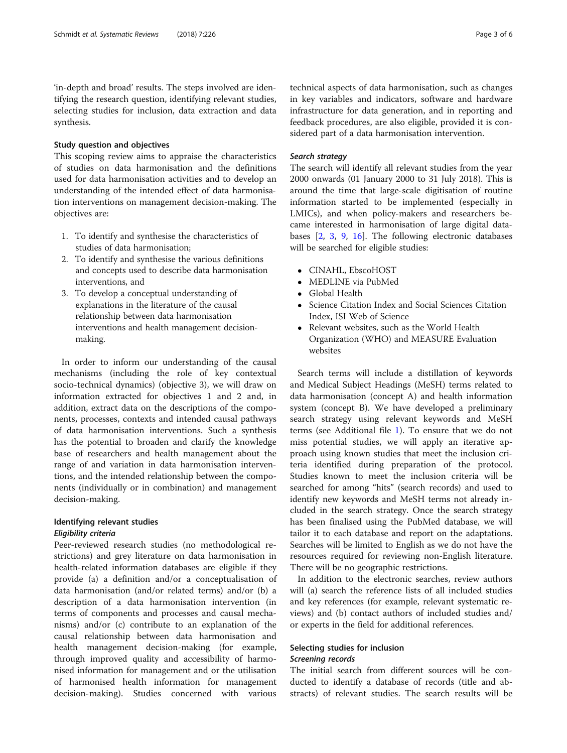'in-depth and broad' results. The steps involved are identifying the research question, identifying relevant studies, selecting studies for inclusion, data extraction and data synthesis.

## Study question and objectives

This scoping review aims to appraise the characteristics of studies on data harmonisation and the definitions used for data harmonisation activities and to develop an understanding of the intended effect of data harmonisation interventions on management decision-making. The objectives are:

- 1. To identify and synthesise the characteristics of studies of data harmonisation;
- 2. To identify and synthesise the various definitions and concepts used to describe data harmonisation interventions, and
- 3. To develop a conceptual understanding of explanations in the literature of the causal relationship between data harmonisation interventions and health management decisionmaking.

In order to inform our understanding of the causal mechanisms (including the role of key contextual socio-technical dynamics) (objective 3), we will draw on information extracted for objectives 1 and 2 and, in addition, extract data on the descriptions of the components, processes, contexts and intended causal pathways of data harmonisation interventions. Such a synthesis has the potential to broaden and clarify the knowledge base of researchers and health management about the range of and variation in data harmonisation interventions, and the intended relationship between the components (individually or in combination) and management decision-making.

## Identifying relevant studies

## Eligibility criteria

Peer-reviewed research studies (no methodological restrictions) and grey literature on data harmonisation in health-related information databases are eligible if they provide (a) a definition and/or a conceptualisation of data harmonisation (and/or related terms) and/or (b) a description of a data harmonisation intervention (in terms of components and processes and causal mechanisms) and/or (c) contribute to an explanation of the causal relationship between data harmonisation and health management decision-making (for example, through improved quality and accessibility of harmonised information for management and or the utilisation of harmonised health information for management decision-making). Studies concerned with various

technical aspects of data harmonisation, such as changes in key variables and indicators, software and hardware infrastructure for data generation, and in reporting and feedback procedures, are also eligible, provided it is considered part of a data harmonisation intervention.

## Search strategy

The search will identify all relevant studies from the year 2000 onwards (01 January 2000 to 31 July 2018). This is around the time that large-scale digitisation of routine information started to be implemented (especially in LMICs), and when policy-makers and researchers became interested in harmonisation of large digital databases [\[2](#page-5-0), [3](#page-5-0), [9](#page-5-0), [16](#page-5-0)]. The following electronic databases will be searched for eligible studies:

- CINAHL, EbscoHOST
- MEDLINE via PubMed
- Global Health
- Science Citation Index and Social Sciences Citation Index, ISI Web of Science
- Relevant websites, such as the World Health Organization (WHO) and MEASURE Evaluation websites

Search terms will include a distillation of keywords and Medical Subject Headings (MeSH) terms related to data harmonisation (concept A) and health information system (concept B). We have developed a preliminary search strategy using relevant keywords and MeSH terms (see Additional file [1\)](#page-4-0). To ensure that we do not miss potential studies, we will apply an iterative approach using known studies that meet the inclusion criteria identified during preparation of the protocol. Studies known to meet the inclusion criteria will be searched for among "hits" (search records) and used to identify new keywords and MeSH terms not already included in the search strategy. Once the search strategy has been finalised using the PubMed database, we will tailor it to each database and report on the adaptations. Searches will be limited to English as we do not have the resources required for reviewing non-English literature. There will be no geographic restrictions.

In addition to the electronic searches, review authors will (a) search the reference lists of all included studies and key references (for example, relevant systematic reviews) and (b) contact authors of included studies and/ or experts in the field for additional references.

## Selecting studies for inclusion Screening records

The initial search from different sources will be conducted to identify a database of records (title and abstracts) of relevant studies. The search results will be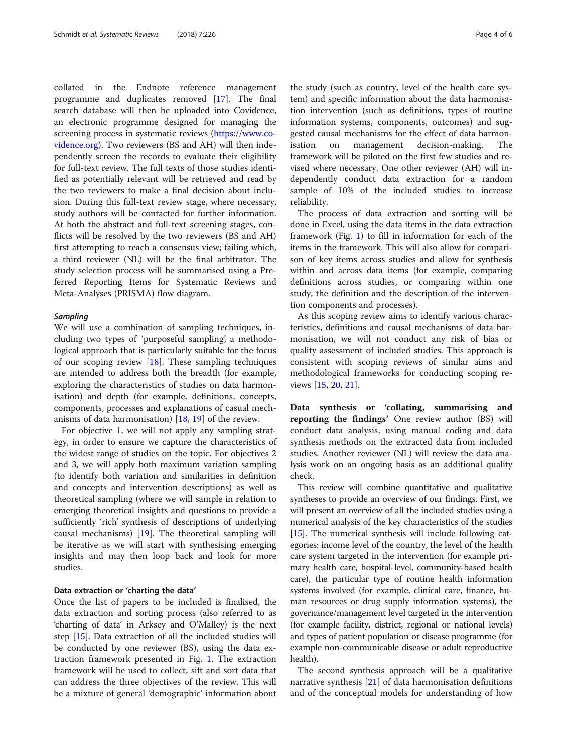collated in the Endnote reference management programme and duplicates removed [\[17](#page-5-0)]. The final search database will then be uploaded into Covidence, an electronic programme designed for managing the screening process in systematic reviews ([https://www.co](https://www.covidence.org/)[vidence.org](https://www.covidence.org/)). Two reviewers (BS and AH) will then independently screen the records to evaluate their eligibility for full-text review. The full texts of those studies identified as potentially relevant will be retrieved and read by the two reviewers to make a final decision about inclusion. During this full-text review stage, where necessary, study authors will be contacted for further information. At both the abstract and full-text screening stages, conflicts will be resolved by the two reviewers (BS and AH) first attempting to reach a consensus view; failing which, a third reviewer (NL) will be the final arbitrator. The study selection process will be summarised using a Preferred Reporting Items for Systematic Reviews and Meta-Analyses (PRISMA) flow diagram.

## Sampling

We will use a combination of sampling techniques, including two types of 'purposeful sampling', a methodological approach that is particularly suitable for the focus of our scoping review [\[18\]](#page-5-0). These sampling techniques are intended to address both the breadth (for example, exploring the characteristics of studies on data harmonisation) and depth (for example, definitions, concepts, components, processes and explanations of casual mechanisms of data harmonisation)  $[18, 19]$  $[18, 19]$  $[18, 19]$  of the review.

For objective 1, we will not apply any sampling strategy, in order to ensure we capture the characteristics of the widest range of studies on the topic. For objectives 2 and 3, we will apply both maximum variation sampling (to identify both variation and similarities in definition and concepts and intervention descriptions) as well as theoretical sampling (where we will sample in relation to emerging theoretical insights and questions to provide a sufficiently 'rich' synthesis of descriptions of underlying causal mechanisms) [\[19\]](#page-5-0). The theoretical sampling will be iterative as we will start with synthesising emerging insights and may then loop back and look for more studies.

#### Data extraction or 'charting the data'

Once the list of papers to be included is finalised, the data extraction and sorting process (also referred to as 'charting of data' in Arksey and O'Malley) is the next step [[15\]](#page-5-0). Data extraction of all the included studies will be conducted by one reviewer (BS), using the data extraction framework presented in Fig. [1](#page-4-0). The extraction framework will be used to collect, sift and sort data that can address the three objectives of the review. This will be a mixture of general 'demographic' information about

the study (such as country, level of the health care system) and specific information about the data harmonisation intervention (such as definitions, types of routine information systems, components, outcomes) and suggested causal mechanisms for the effect of data harmonisation on management decision-making. The framework will be piloted on the first few studies and revised where necessary. One other reviewer (AH) will independently conduct data extraction for a random sample of 10% of the included studies to increase reliability.

The process of data extraction and sorting will be done in Excel, using the data items in the data extraction framework (Fig. [1\)](#page-4-0) to fill in information for each of the items in the framework. This will also allow for comparison of key items across studies and allow for synthesis within and across data items (for example, comparing definitions across studies, or comparing within one study, the definition and the description of the intervention components and processes).

As this scoping review aims to identify various characteristics, definitions and causal mechanisms of data harmonisation, we will not conduct any risk of bias or quality assessment of included studies. This approach is consistent with scoping reviews of similar aims and methodological frameworks for conducting scoping reviews [[15,](#page-5-0) [20,](#page-5-0) [21\]](#page-5-0).

Data synthesis or 'collating, summarising and reporting the findings' One review author (BS) will conduct data analysis, using manual coding and data synthesis methods on the extracted data from included studies. Another reviewer (NL) will review the data analysis work on an ongoing basis as an additional quality check.

This review will combine quantitative and qualitative syntheses to provide an overview of our findings. First, we will present an overview of all the included studies using a numerical analysis of the key characteristics of the studies [[15](#page-5-0)]. The numerical synthesis will include following categories: income level of the country, the level of the health care system targeted in the intervention (for example primary health care, hospital-level, community-based health care), the particular type of routine health information systems involved (for example, clinical care, finance, human resources or drug supply information systems), the governance/management level targeted in the intervention (for example facility, district, regional or national levels) and types of patient population or disease programme (for example non-communicable disease or adult reproductive health).

The second synthesis approach will be a qualitative narrative synthesis  $[21]$  $[21]$  $[21]$  of data harmonisation definitions and of the conceptual models for understanding of how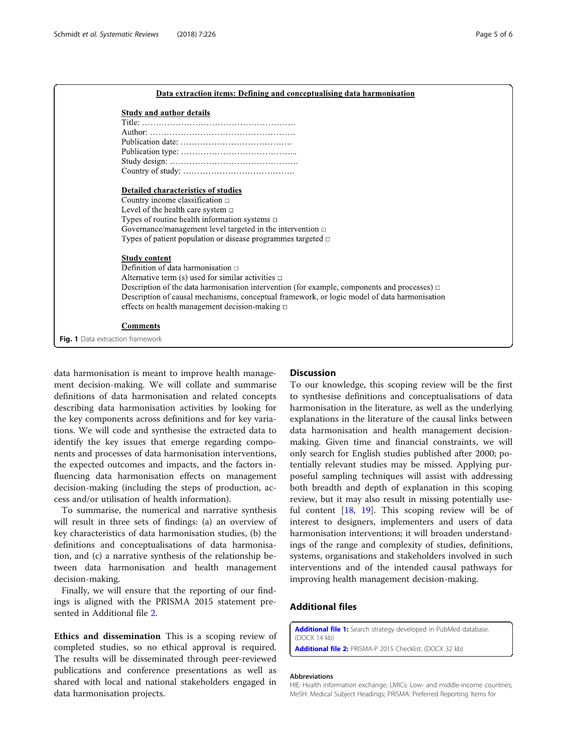## Data extraction items: Defining and conceptualising data harmonisation

## <span id="page-4-0"></span>Study and author details

## **Detailed characteristics of studies**

Country income classification  $\Box$ Level of the health care system  $\Box$ Types of routine health information systems  $\Box$ Governance/management level targeted in the intervention  $\square$ Types of patient population or disease programmes targeted  $\Box$ 

## **Study content**

Definition of data harmonisation □ Alternative term (s) used for similar activities  $\Box$ Description of the data harmonisation intervention (for example, components and processes)  $\Box$ Description of causal mechanisms, conceptual framework, or logic model of data harmonisation effects on health management decision-making  $\Box$ 

#### **Comments**

Fig. 1 Data extraction framework

data harmonisation is meant to improve health management decision-making. We will collate and summarise definitions of data harmonisation and related concepts describing data harmonisation activities by looking for the key components across definitions and for key variations. We will code and synthesise the extracted data to identify the key issues that emerge regarding components and processes of data harmonisation interventions, the expected outcomes and impacts, and the factors influencing data harmonisation effects on management decision-making (including the steps of production, access and/or utilisation of health information).

To summarise, the numerical and narrative synthesis will result in three sets of findings: (a) an overview of key characteristics of data harmonisation studies, (b) the definitions and conceptualisations of data harmonisation, and (c) a narrative synthesis of the relationship between data harmonisation and health management decision-making.

Finally, we will ensure that the reporting of our findings is aligned with the PRISMA 2015 statement presented in Additional file 2.

Ethics and dissemination This is a scoping review of completed studies, so no ethical approval is required. The results will be disseminated through peer-reviewed publications and conference presentations as well as shared with local and national stakeholders engaged in data harmonisation projects.

## **Discussion**

To our knowledge, this scoping review will be the first to synthesise definitions and conceptualisations of data harmonisation in the literature, as well as the underlying explanations in the literature of the causal links between data harmonisation and health management decisionmaking. Given time and financial constraints, we will only search for English studies published after 2000; potentially relevant studies may be missed. Applying purposeful sampling techniques will assist with addressing both breadth and depth of explanation in this scoping review, but it may also result in missing potentially useful content [[18,](#page-5-0) [19](#page-5-0)]. This scoping review will be of interest to designers, implementers and users of data harmonisation interventions; it will broaden understandings of the range and complexity of studies, definitions, systems, organisations and stakeholders involved in such interventions and of the intended causal pathways for improving health management decision-making.

## Additional files

[Additional file 1:](https://doi.org/10.1186/s13643-018-0890-7) Search strategy developed in PubMed database. (DOCX 14 kb) [Additional file 2:](https://doi.org/10.1186/s13643-018-0890-7) PRISMA-P 2015 Checklist. (DOCX 32 kb)

#### Abbreviations

HIE: Health information exchange; LMICs: Low- and middle-income countries; MeSH: Medical Subject Headings; PRISMA: Preferred Reporting Items for